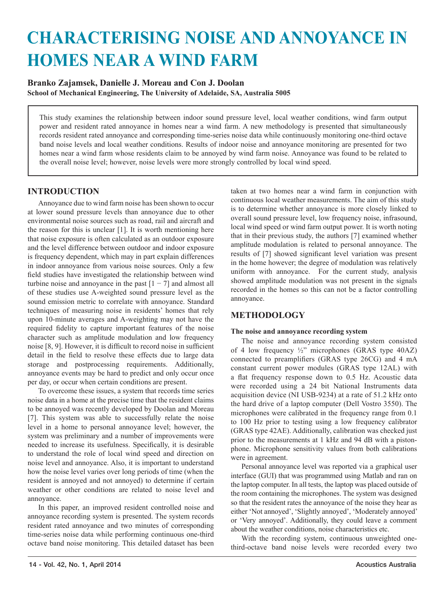# **CHARACTERISING NOISE AND ANNOYANCE IN HOMES NEAR A WIND FARM**

# **Branko Zajamsek, Danielle J. Moreau and Con J. Doolan School of Mechanical Engineering, The University of Adelaide, SA, Australia 5005**

This study examines the relationship between indoor sound pressure level, local weather conditions, wind farm output power and resident rated annoyance in homes near a wind farm. A new methodology is presented that simultaneously records resident rated annoyance and corresponding time-series noise data while continuously monitoring one-third octave band noise levels and local weather conditions. Results of indoor noise and annoyance monitoring are presented for two homes near a wind farm whose residents claim to be annoyed by wind farm noise. Annoyance was found to be related to the overall noise level; however, noise levels were more strongly controlled by local wind speed.

# **INTRODUCTION**

Annoyance due to wind farm noise has been shown to occur at lower sound pressure levels than annoyance due to other environmental noise sources such as road, rail and aircraft and the reason for this is unclear [1]. It is worth mentioning here that noise exposure is often calculated as an outdoor exposure and the level difference between outdoor and indoor exposure is frequency dependent, which may in part explain differences in indoor annoyance from various noise sources. Only a few field studies have investigated the relationship between wind turbine noise and annoyance in the past  $[1 - 7]$  and almost all of these studies use A-weighted sound pressure level as the sound emission metric to correlate with annoyance. Standard techniques of measuring noise in residents' homes that rely upon 10-minute averages and A-weighting may not have the required fidelity to capture important features of the noise character such as amplitude modulation and low frequency noise [8, 9]. However, it is difficult to record noise in sufficient detail in the field to resolve these effects due to large data storage and postprocessing requirements. Additionally, annoyance events may be hard to predict and only occur once per day, or occur when certain conditions are present.

To overcome these issues, a system that records time series noise data in a home at the precise time that the resident claims to be annoyed was recently developed by Doolan and Moreau [7]. This system was able to successfully relate the noise level in a home to personal annoyance level; however, the system was preliminary and a number of improvements were needed to increase its usefulness. Specifically, it is desirable to understand the role of local wind speed and direction on noise level and annoyance. Also, it is important to understand how the noise level varies over long periods of time (when the resident is annoyed and not annoyed) to determine if certain weather or other conditions are related to noise level and annoyance.

In this paper, an improved resident controlled noise and annoyance recording system is presented. The system records resident rated annoyance and two minutes of corresponding time-series noise data while performing continuous one-third octave band noise monitoring. This detailed dataset has been

taken at two homes near a wind farm in conjunction with continuous local weather measurements. The aim of this study is to determine whether annoyance is more closely linked to overall sound pressure level, low frequency noise, infrasound, local wind speed or wind farm output power. It is worth noting that in their previous study, the authors [7] examined whether amplitude modulation is related to personal annoyance. The results of [7] showed significant level variation was present in the home however; the degree of modulation was relatively uniform with annoyance. For the current study, analysis showed amplitude modulation was not present in the signals recorded in the homes so this can not be a factor controlling annoyance.

# **METHODOLOGY**

## **The noise and annoyance recording system**

The noise and annoyance recording system consisted of 4 low frequency ½" microphones (GRAS type 40AZ) connected to preamplifiers (GRAS type 26CG) and 4 mA constant current power modules (GRAS type 12AL) with a flat frequency response down to 0.5 Hz. Acoustic data were recorded using a 24 bit National Instruments data acquisition device (NI USB-9234) at a rate of 51.2 kHz onto the hard drive of a laptop computer (Dell Vostro 3550). The microphones were calibrated in the frequency range from 0.1 to 100 Hz prior to testing using a low frequency calibrator (GRAS type 42AE). Additionally, calibration was checked just prior to the measurements at 1 kHz and 94 dB with a pistonphone. Microphone sensitivity values from both calibrations were in agreement.

Personal annoyance level was reported via a graphical user interface (GUI) that was programmed using Matlab and ran on the laptop computer. In all tests, the laptop was placed outside of the room containing the microphones. The system was designed so that the resident rates the annoyance of the noise they hear as either 'Not annoyed', 'Slightly annoyed', 'Moderately annoyed' or 'Very annoyed'. Additionally, they could leave a comment about the weather conditions, noise characteristics etc.

With the recording system, continuous unweighted onethird-octave band noise levels were recorded every two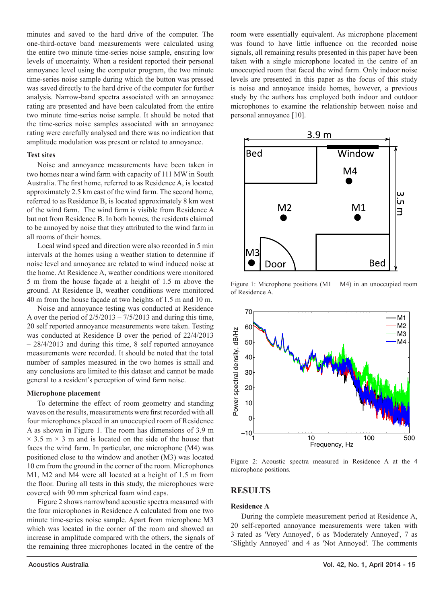minutes and saved to the hard drive of the computer. The one-third-octave band measurements were calculated using the entire two minute time-series noise sample, ensuring low levels of uncertainty. When a resident reported their personal annoyance level using the computer program, the two minute time-series noise sample during which the button was pressed was saved directly to the hard drive of the computer for further analysis. Narrow-band spectra associated with an annoyance rating are presented and have been calculated from the entire two minute time-series noise sample. It should be noted that the time-series noise samples associated with an annoyance rating were carefully analysed and there was no indication that amplitude modulation was present or related to annoyance.

#### **Test sites**

Noise and annoyance measurements have been taken in two homes near a wind farm with capacity of 111 MW in South Australia. The first home, referred to as Residence A, is located approximately 2.5 km east of the wind farm. The second home, referred to as Residence B, is located approximately 8 km west of the wind farm. The wind farm is visible from Residence A but not from Residence B. In both homes, the residents claimed to be annoyed by noise that they attributed to the wind farm in all rooms of their homes.

Local wind speed and direction were also recorded in 5 min intervals at the homes using a weather station to determine if noise level and annoyance are related to wind induced noise at the home. At Residence A, weather conditions were monitored 5 m from the house façade at a height of 1.5 m above the ground. At Residence B, weather conditions were monitored 40 m from the house façade at two heights of 1.5 m and 10 m.

Noise and annoyance testing was conducted at Residence A over the period of  $2/5/2013 - 7/5/2013$  and during this time, 20 self reported annoyance measurements were taken. Testing was conducted at Residence B over the period of 22/4/2013 – 28/4/2013 and during this time, 8 self reported annoyance measurements were recorded. It should be noted that the total number of samples measured in the two homes is small and any conclusions are limited to this dataset and cannot be made general to a resident's perception of wind farm noise.

#### **Microphone placement**

To determine the effect of room geometry and standing waves on the results, measurements were first recorded with all four microphones placed in an unoccupied room of Residence A as shown in Figure 1. The room has dimensions of 3.9 m  $\times$  3.5 m  $\times$  3 m and is located on the side of the house that faces the wind farm. In particular, one microphone (M4) was positioned close to the window and another (M3) was located 10 cm from the ground in the corner of the room. Microphones M1, M2 and M4 were all located at a height of 1.5 m from the floor. During all tests in this study, the microphones were covered with 90 mm spherical foam wind caps.

Figure 2 shows narrowband acoustic spectra measured with the four microphones in Residence A calculated from one two minute time-series noise sample. Apart from microphone M3 which was located in the corner of the room and showed an increase in amplitude compared with the others, the signals of the remaining three microphones located in the centre of the

room were essentially equivalent. As microphone placement was found to have little influence on the recorded noise signals, all remaining results presented in this paper have been taken with a single microphone located in the centre of an unoccupied room that faced the wind farm. Only indoor noise levels are presented in this paper as the focus of this study is noise and annoyance inside homes, however, a previous study by the authors has employed both indoor and outdoor microphones to examine the relationship between noise and personal annoyance [10].



Figure 1: Microphone positions (M1 − M4) in an unoccupied room of Residence A.



Figure 2: Acoustic spectra measured in Residence A at the 4 microphone positions.

## **RESULTS**

#### **Residence A**

During the complete measurement period at Residence A, 20 self-reported annoyance measurements were taken with 3 rated as 'Very Annoyed', 6 as 'Moderately Annoyed', 7 as 'Slightly Annoyed' and 4 as 'Not Annoyed'. The comments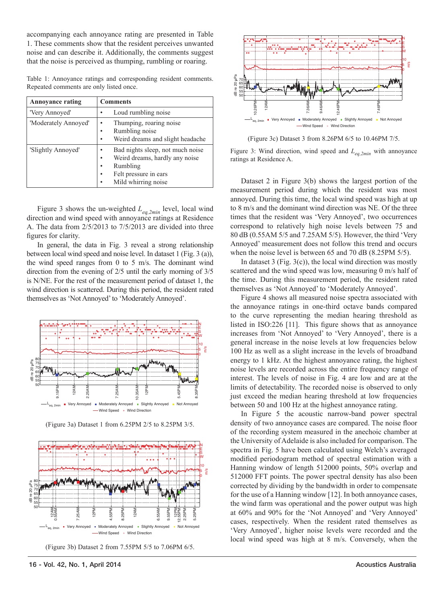accompanying each annoyance rating are presented in Table 1. These comments show that the resident perceives unwanted noise and can describe it. Additionally, the comments suggest that the noise is perceived as thumping, rumbling or roaring.

Table 1: Annoyance ratings and corresponding resident comments. Repeated comments are only listed once.

| <b>Annoyance rating</b> | <b>Comments</b>                                                                                                                                    |
|-------------------------|----------------------------------------------------------------------------------------------------------------------------------------------------|
| 'Very Annoyed'          | Loud rumbling noise                                                                                                                                |
| 'Moderately Annoyed'    | Thumping, roaring noise<br>٠<br>Rumbling noise<br>٠<br>Weird dreams and slight headache<br>٠                                                       |
| 'Slightly Annoyed'      | Bad nights sleep, not much noise<br>٠<br>Weird dreams, hardly any noise<br>٠<br>Rumbling<br>٠<br>Felt pressure in ears<br>٠<br>Mild whirring noise |

Figure 3 shows the un-weighted *Leq,2min* level, local wind direction and wind speed with annoyance ratings at Residence A. The data from 2/5/2013 to 7/5/2013 are divided into three figures for clarity.

In general, the data in Fig. 3 reveal a strong relationship between local wind speed and noise level. In dataset 1 (Fig. 3 (a)), the wind speed ranges from 0 to 5 m/s. The dominant wind direction from the evening of 2/5 until the early morning of 3/5 is N/NE. For the rest of the measurement period of dataset 1, the wind direction is scattered. During this period, the resident rated themselves as 'Not Annoyed' to 'Moderately Annoyed'.



(Figure 3a) Dataset 1 from 6.25PM 2/5 to 8.25PM 3/5.







(Figure 3c) Dataset 3 from 8.26PM 6/5 to 10.46PM 7/5.

Figure 3: Wind direction, wind speed and *Leq,2min* with annoyance ratings at Residence A.

Dataset 2 in Figure 3(b) shows the largest portion of the measurement period during which the resident was most annoyed. During this time, the local wind speed was high at up to 8 m/s and the dominant wind direction was NE. Of the three times that the resident was 'Very Annoyed', two occurrences correspond to relatively high noise levels between 75 and 80 dB (0.55AM 5/5 and 7.25AM 5/5). However, the third 'Very Annoyed' measurement does not follow this trend and occurs when the noise level is between 65 and 70 dB (8.25PM 5/5).

In dataset  $3$  (Fig.  $3(c)$ ), the local wind direction was mostly scattered and the wind speed was low, measuring 0 m/s half of the time. During this measurement period, the resident rated themselves as 'Not Annoyed' to 'Moderately Annoyed'.

Figure 4 shows all measured noise spectra associated with the annoyance ratings in one-third octave bands compared to the curve representing the median hearing threshold as listed in ISO:226 [11]. This figure shows that as annoyance increases from 'Not Annoyed' to 'Very Annoyed', there is a general increase in the noise levels at low frequencies below 100 Hz as well as a slight increase in the levels of broadband energy to 1 kHz. At the highest annoyance rating, the highest noise levels are recorded across the entire frequency range of interest. The levels of noise in Fig. 4 are low and are at the limits of detectability. The recorded noise is observed to only just exceed the median hearing threshold at low frequencies between 50 and 100 Hz at the highest annoyance rating.

In Figure 5 the acoustic narrow-band power spectral density of two annoyance cases are compared. The noise floor of the recording system measured in the anechoic chamber at the University of Adelaide is also included for comparison. The spectra in Fig. 5 have been calculated using Welch's averaged modified periodogram method of spectral estimation with a Hanning window of length 512000 points, 50% overlap and 512000 FFT points. The power spectral density has also been corrected by dividing by the bandwidth in order to compensate for the use of a Hanning window [12]. In both annoyance cases, the wind farm was operational and the power output was high at 60% and 90% for the 'Not Annoyed' and 'Very Annoyed' cases, respectively. When the resident rated themselves as 'Very Annoyed', higher noise levels were recorded and the local wind speed was high at 8 m/s. Conversely, when the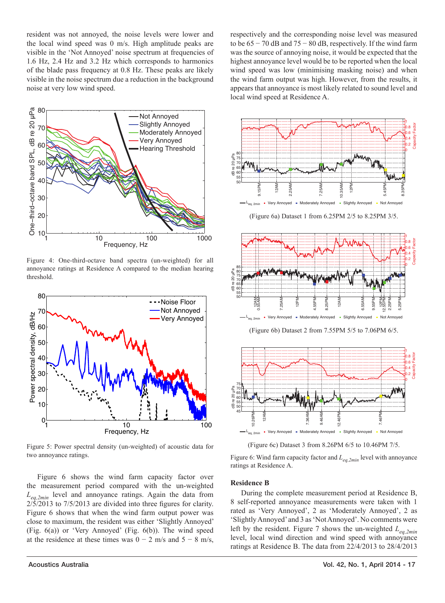resident was not annoyed, the noise levels were lower and the local wind speed was 0 m/s. High amplitude peaks are visible in the 'Not Annoyed' noise spectrum at frequencies of 1.6 Hz, 2.4 Hz and 3.2 Hz which corresponds to harmonics of the blade pass frequency at 0.8 Hz. These peaks are likely visible in the noise spectrum due a reduction in the background noise at very low wind speed.



Figure 4: One-third-octave band spectra (un-weighted) for all annoyance ratings at Residence A compared to the median hearing threshold.



Figure 5: Power spectral density (un-weighted) of acoustic data for two annoyance ratings.

Figure 6 shows the wind farm capacity factor over the measurement period compared with the un-weighted *Leq,2min* level and annoyance ratings. Again the data from 2/5/2013 to 7/5/2013 are divided into three figures for clarity. Figure 6 shows that when the wind farm output power was close to maximum, the resident was either 'Slightly Annoyed' (Fig. 6(a)) or 'Very Annoyed' (Fig. 6(b)). The wind speed at the residence at these times was  $0 - 2$  m/s and  $5 - 8$  m/s, respectively and the corresponding noise level was measured to be  $65 - 70$  dB and  $75 - 80$  dB, respectively. If the wind farm was the source of annoying noise, it would be expected that the highest annoyance level would be to be reported when the local wind speed was low (minimising masking noise) and when the wind farm output was high. However, from the results, it appears that annoyance is most likely related to sound level and local wind speed at Residence A.



(Figure 6a) Dataset 1 from 6.25PM 2/5 to 8.25PM 3/5.



(Figure 6b) Dataset 2 from 7.55PM 5/5 to 7.06PM 6/5.



(Figure 6c) Dataset 3 from 8.26PM 6/5 to 10.46PM 7/5.

Figure 6: Wind farm capacity factor and *Leq,2min* level with annoyance ratings at Residence A.

### **Residence B**

During the complete measurement period at Residence B, 8 self-reported annoyance measurements were taken with 1 rated as 'Very Annoyed', 2 as 'Moderately Annoyed', 2 as 'Slightly Annoyed' and 3 as 'Not Annoyed'. No comments were left by the resident. Figure 7 shows the un-weighted *Leq,2min* level, local wind direction and wind speed with annoyance ratings at Residence B. The data from 22/4/2013 to 28/4/2013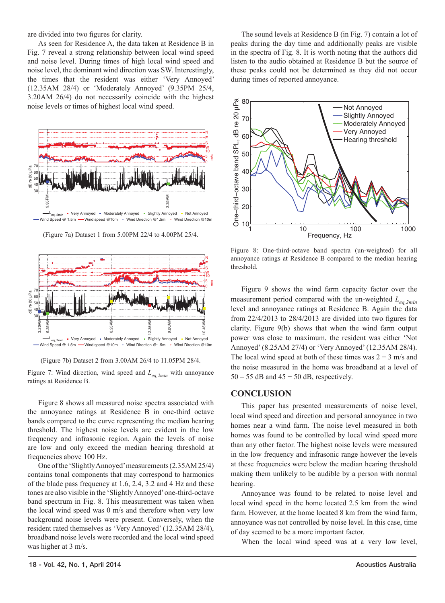are divided into two figures for clarity.

As seen for Residence A, the data taken at Residence B in Fig. 7 reveal a strong relationship between local wind speed and noise level. During times of high local wind speed and noise level, the dominant wind direction was SW. Interestingly, the times that the resident was either 'Very Annoyed' (12.35AM 28/4) or 'Moderately Annoyed' (9.35PM 25/4, 3.20AM 26/4) do not necessarily coincide with the highest noise levels or times of highest local wind speed.



 $-\mathsf{L}_{\texttt{eq, 2min}}$  " Very Annoyed " Moderately Annoyed " Slightly Annoyed " Not Annoyed  $\mathsf{L}_{\texttt{eq, 2min}}$  and  $\mathsf{C}_{\texttt{max}}$  and  $\mathsf{C}_{\texttt{max}}$  and  $\mathsf{C}_{\texttt{max}}$  and  $\mathsf{C}_{\texttt{max}}$  and  $\mathsf{C}_{\texttt{max}}$  and  $\mathsf{C}_{\texttt{max}}$  -Wind speed @10m . Wind Direction [@1.5m](mailto:@1.5m) . Wind Direction @10m

(Figure 7a) Dataset 1 from 5.00PM 22/4 to 4.00PM 25/4.



(Figure 7b) Dataset 2 from 3.00AM 26/4 to 11.05PM 28/4.

Figure 7: Wind direction, wind speed and  $L_{eq,2min}$  with annoyance ratings at Residence B.

Figure 8 shows all measured noise spectra associated with the annoyance ratings at Residence B in one-third octave bands compared to the curve representing the median hearing threshold. The highest noise levels are evident in the low frequency and infrasonic region. Again the levels of noise are low and only exceed the median hearing threshold at frequencies above 100 Hz.

One of the 'Slightly Annoyed' measurements (2.35AM 25/4) contains tonal components that may correspond to harmonics of the blade pass frequency at 1.6, 2.4, 3.2 and 4 Hz and these tones are also visible in the 'Slightly Annoyed' one-third-octave band spectrum in Fig. 8. This measurement was taken when the local wind speed was 0 m/s and therefore when very low background noise levels were present. Conversely, when the resident rated themselves as 'Very Annoyed' (12.35AM 28/4), broadband noise levels were recorded and the local wind speed was higher at 3 m/s.

The sound levels at Residence B (in Fig. 7) contain a lot of peaks during the day time and additionally peaks are visible in the spectra of Fig. 8. It is worth noting that the authors did listen to the audio obtained at Residence B but the source of these peaks could not be determined as they did not occur during times of reported annoyance.



Figure 8: One-third-octave band spectra (un-weighted) for all annoyance ratings at Residence B compared to the median hearing threshold.

Figure 9 shows the wind farm capacity factor over the measurement period compared with the un-weighted *Leq,2min* level and annoyance ratings at Residence B. Again the data from 22/4/2013 to 28/4/2013 are divided into two figures for clarity. Figure 9(b) shows that when the wind farm output power was close to maximum, the resident was either 'Not Annoyed' (8.25AM 27/4) or 'Very Annoyed' (12.35AM 28/4). The local wind speed at both of these times was  $2 - 3$  m/s and the noise measured in the home was broadband at a level of  $50 - 55$  dB and  $45 - 50$  dB, respectively.

#### **CONCLUSION**

This paper has presented measurements of noise level, local wind speed and direction and personal annoyance in two homes near a wind farm. The noise level measured in both homes was found to be controlled by local wind speed more than any other factor. The highest noise levels were measured in the low frequency and infrasonic range however the levels at these frequencies were below the median hearing threshold making them unlikely to be audible by a person with normal hearing.

Annoyance was found to be related to noise level and local wind speed in the home located 2.5 km from the wind farm. However, at the home located 8 km from the wind farm, annoyance was not controlled by noise level. In this case, time of day seemed to be a more important factor.

When the local wind speed was at a very low level,